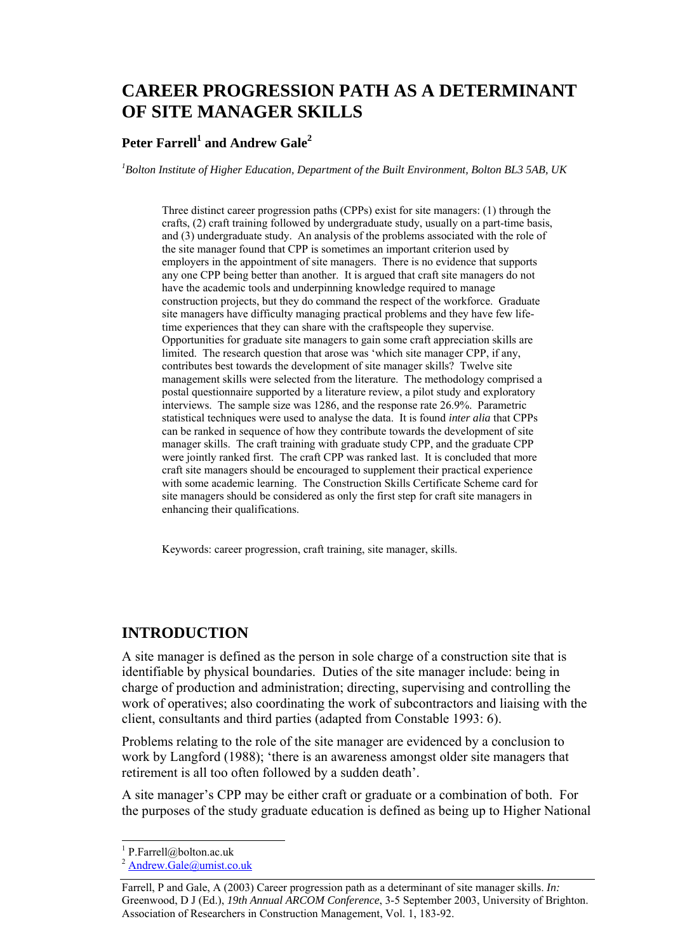# **CAREER PROGRESSION PATH AS A DETERMINANT OF SITE MANAGER SKILLS**

## $\mathbf{Peter\, Farrell}^{1}$  and  $\mathbf{Andrew\, Gale}^{2}$

*1 Bolton Institute of Higher Education, Department of the Built Environment, Bolton BL3 5AB, UK* 

Three distinct career progression paths (CPPs) exist for site managers: (1) through the crafts, (2) craft training followed by undergraduate study, usually on a part-time basis, and (3) undergraduate study. An analysis of the problems associated with the role of the site manager found that CPP is sometimes an important criterion used by employers in the appointment of site managers. There is no evidence that supports any one CPP being better than another. It is argued that craft site managers do not have the academic tools and underpinning knowledge required to manage construction projects, but they do command the respect of the workforce. Graduate site managers have difficulty managing practical problems and they have few lifetime experiences that they can share with the craftspeople they supervise. Opportunities for graduate site managers to gain some craft appreciation skills are limited. The research question that arose was 'which site manager CPP, if any, contributes best towards the development of site manager skills? Twelve site management skills were selected from the literature. The methodology comprised a postal questionnaire supported by a literature review, a pilot study and exploratory interviews. The sample size was 1286, and the response rate 26.9%. Parametric statistical techniques were used to analyse the data. It is found *inter alia* that CPPs can be ranked in sequence of how they contribute towards the development of site manager skills. The craft training with graduate study CPP, and the graduate CPP were jointly ranked first. The craft CPP was ranked last. It is concluded that more craft site managers should be encouraged to supplement their practical experience with some academic learning. The Construction Skills Certificate Scheme card for site managers should be considered as only the first step for craft site managers in enhancing their qualifications.

Keywords: career progression, craft training, site manager, skills.

# **INTRODUCTION**

A site manager is defined as the person in sole charge of a construction site that is identifiable by physical boundaries. Duties of the site manager include: being in charge of production and administration; directing, supervising and controlling the work of operatives; also coordinating the work of subcontractors and liaising with the client, consultants and third parties (adapted from Constable 1993: 6).

Problems relating to the role of the site manager are evidenced by a conclusion to work by Langford (1988); 'there is an awareness amongst older site managers that retirement is all too often followed by a sudden death'.

A site manager's CPP may be either craft or graduate or a combination of both. For the purposes of the study graduate education is defined as being up to Higher National

l

<sup>&</sup>lt;sup>1</sup> P.Farrell@bolton.ac.uk

 $2$  Andrew.Gale@umist.co.uk

Farrell, P and Gale, A (2003) Career progression path as a determinant of site manager skills. *In:* Greenwood, D J (Ed.), *19th Annual ARCOM Conference*, 3-5 September 2003, University of Brighton. Association of Researchers in Construction Management, Vol. 1, 183-92.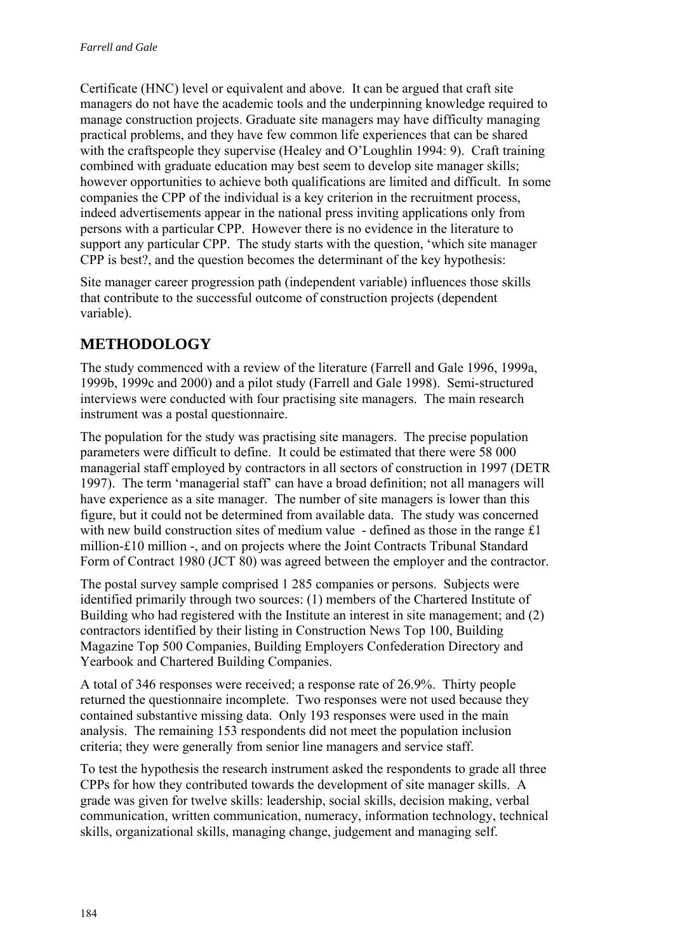Certificate (HNC) level or equivalent and above. It can be argued that craft site managers do not have the academic tools and the underpinning knowledge required to manage construction projects. Graduate site managers may have difficulty managing practical problems, and they have few common life experiences that can be shared with the craftspeople they supervise (Healey and O'Loughlin 1994: 9). Craft training combined with graduate education may best seem to develop site manager skills; however opportunities to achieve both qualifications are limited and difficult. In some companies the CPP of the individual is a key criterion in the recruitment process, indeed advertisements appear in the national press inviting applications only from persons with a particular CPP. However there is no evidence in the literature to support any particular CPP. The study starts with the question, 'which site manager CPP is best?, and the question becomes the determinant of the key hypothesis:

Site manager career progression path (independent variable) influences those skills that contribute to the successful outcome of construction projects (dependent variable).

# **METHODOLOGY**

The study commenced with a review of the literature (Farrell and Gale 1996, 1999a, 1999b, 1999c and 2000) and a pilot study (Farrell and Gale 1998). Semi-structured interviews were conducted with four practising site managers. The main research instrument was a postal questionnaire.

The population for the study was practising site managers. The precise population parameters were difficult to define. It could be estimated that there were 58 000 managerial staff employed by contractors in all sectors of construction in 1997 (DETR 1997). The term 'managerial staff' can have a broad definition; not all managers will have experience as a site manager. The number of site managers is lower than this figure, but it could not be determined from available data. The study was concerned with new build construction sites of medium value - defined as those in the range £1 million-£10 million -, and on projects where the Joint Contracts Tribunal Standard Form of Contract 1980 (JCT 80) was agreed between the employer and the contractor.

The postal survey sample comprised 1 285 companies or persons. Subjects were identified primarily through two sources: (1) members of the Chartered Institute of Building who had registered with the Institute an interest in site management; and (2) contractors identified by their listing in Construction News Top 100, Building Magazine Top 500 Companies, Building Employers Confederation Directory and Yearbook and Chartered Building Companies.

A total of 346 responses were received; a response rate of 26.9%. Thirty people returned the questionnaire incomplete. Two responses were not used because they contained substantive missing data. Only 193 responses were used in the main analysis. The remaining 153 respondents did not meet the population inclusion criteria; they were generally from senior line managers and service staff.

To test the hypothesis the research instrument asked the respondents to grade all three CPPs for how they contributed towards the development of site manager skills. A grade was given for twelve skills: leadership, social skills, decision making, verbal communication, written communication, numeracy, information technology, technical skills, organizational skills, managing change, judgement and managing self.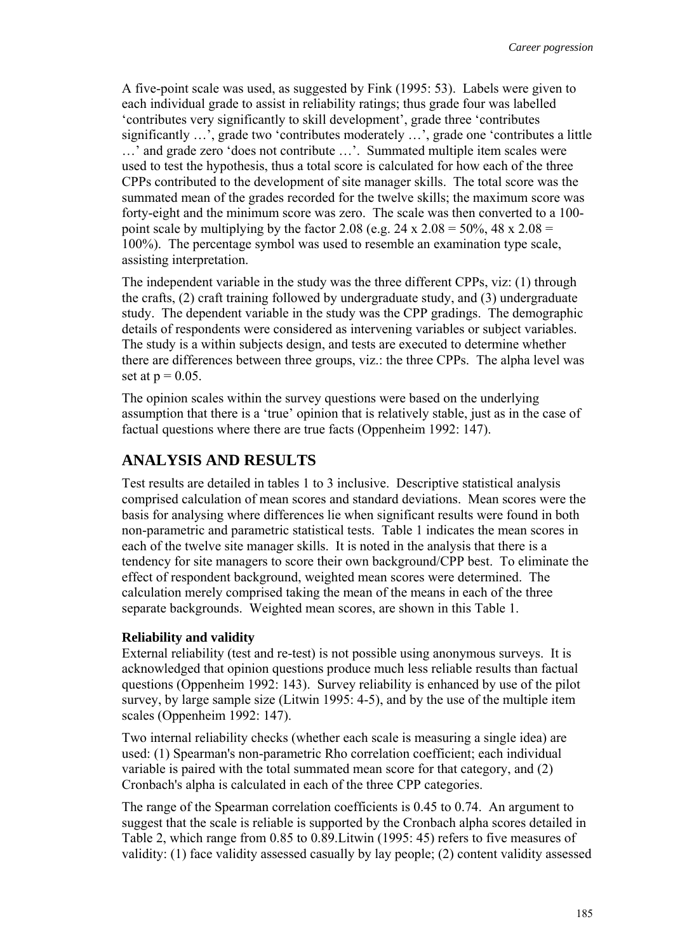A five-point scale was used, as suggested by Fink (1995: 53). Labels were given to each individual grade to assist in reliability ratings; thus grade four was labelled 'contributes very significantly to skill development', grade three 'contributes significantly …', grade two 'contributes moderately …', grade one 'contributes a little …' and grade zero 'does not contribute …'. Summated multiple item scales were used to test the hypothesis, thus a total score is calculated for how each of the three CPPs contributed to the development of site manager skills. The total score was the summated mean of the grades recorded for the twelve skills; the maximum score was forty-eight and the minimum score was zero. The scale was then converted to a 100 point scale by multiplying by the factor 2.08 (e.g.  $24 \times 2.08 = 50\%$ ,  $48 \times 2.08 =$ 100%). The percentage symbol was used to resemble an examination type scale, assisting interpretation.

The independent variable in the study was the three different CPPs, viz: (1) through the crafts, (2) craft training followed by undergraduate study, and (3) undergraduate study. The dependent variable in the study was the CPP gradings. The demographic details of respondents were considered as intervening variables or subject variables. The study is a within subjects design, and tests are executed to determine whether there are differences between three groups, viz.: the three CPPs. The alpha level was set at  $p = 0.05$ .

The opinion scales within the survey questions were based on the underlying assumption that there is a 'true' opinion that is relatively stable, just as in the case of factual questions where there are true facts (Oppenheim 1992: 147).

## **ANALYSIS AND RESULTS**

Test results are detailed in tables 1 to 3 inclusive. Descriptive statistical analysis comprised calculation of mean scores and standard deviations. Mean scores were the basis for analysing where differences lie when significant results were found in both non-parametric and parametric statistical tests. Table 1 indicates the mean scores in each of the twelve site manager skills. It is noted in the analysis that there is a tendency for site managers to score their own background/CPP best. To eliminate the effect of respondent background, weighted mean scores were determined. The calculation merely comprised taking the mean of the means in each of the three separate backgrounds. Weighted mean scores, are shown in this Table 1.

#### **Reliability and validity**

External reliability (test and re-test) is not possible using anonymous surveys. It is acknowledged that opinion questions produce much less reliable results than factual questions (Oppenheim 1992: 143). Survey reliability is enhanced by use of the pilot survey, by large sample size (Litwin 1995: 4-5), and by the use of the multiple item scales (Oppenheim 1992: 147).

Two internal reliability checks (whether each scale is measuring a single idea) are used: (1) Spearman's non-parametric Rho correlation coefficient; each individual variable is paired with the total summated mean score for that category, and (2) Cronbach's alpha is calculated in each of the three CPP categories.

The range of the Spearman correlation coefficients is 0.45 to 0.74. An argument to suggest that the scale is reliable is supported by the Cronbach alpha scores detailed in Table 2, which range from 0.85 to 0.89.Litwin (1995: 45) refers to five measures of validity: (1) face validity assessed casually by lay people; (2) content validity assessed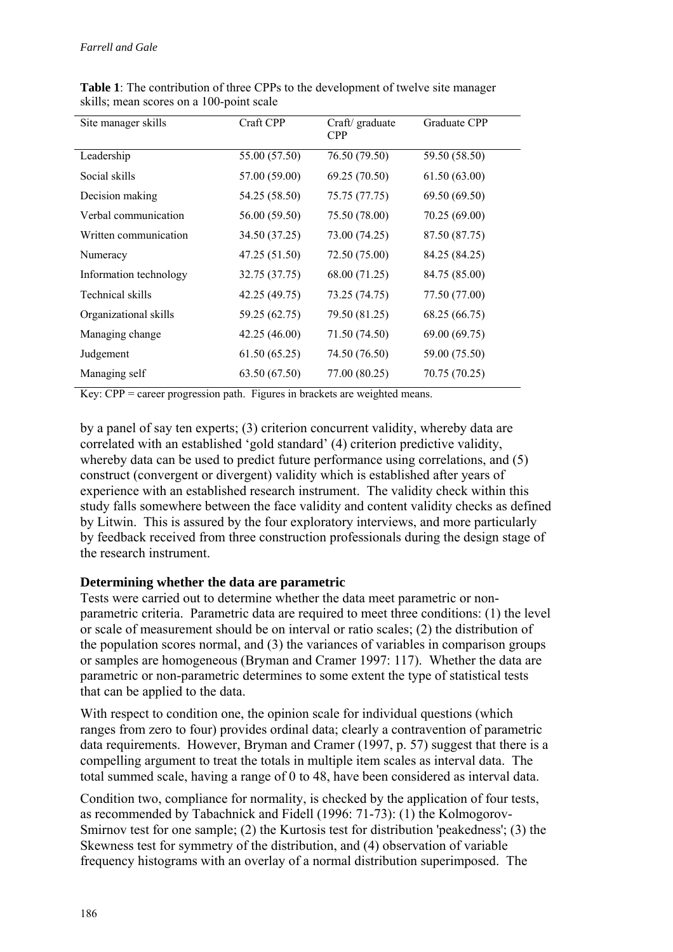| Site manager skills    | Craft CPP     | Craft/ graduate<br><b>CPP</b> | Graduate CPP  |
|------------------------|---------------|-------------------------------|---------------|
| Leadership             | 55.00 (57.50) | 76.50 (79.50)                 | 59.50 (58.50) |
| Social skills          | 57.00 (59.00) | 69.25 (70.50)                 | 61.50(63.00)  |
| Decision making        | 54.25 (58.50) | 75.75 (77.75)                 | 69.50 (69.50) |
| Verbal communication   | 56.00 (59.50) | 75.50 (78.00)                 | 70.25 (69.00) |
| Written communication  | 34.50 (37.25) | 73.00 (74.25)                 | 87.50 (87.75) |
| Numeracy               | 47.25 (51.50) | 72.50 (75.00)                 | 84.25 (84.25) |
| Information technology | 32.75 (37.75) | 68.00 (71.25)                 | 84.75 (85.00) |
| Technical skills       | 42.25 (49.75) | 73.25 (74.75)                 | 77.50 (77.00) |
| Organizational skills  | 59.25 (62.75) | 79.50 (81.25)                 | 68.25 (66.75) |
| Managing change        | 42.25 (46.00) | 71.50 (74.50)                 | 69.00 (69.75) |
| Judgement              | 61.50(65.25)  | 74.50 (76.50)                 | 59.00 (75.50) |
| Managing self          | 63.50 (67.50) | 77.00 (80.25)                 | 70.75 (70.25) |

**Table 1**: The contribution of three CPPs to the development of twelve site manager skills; mean scores on a 100-point scale

Key: CPP = career progression path. Figures in brackets are weighted means.

by a panel of say ten experts; (3) criterion concurrent validity, whereby data are correlated with an established 'gold standard' (4) criterion predictive validity, whereby data can be used to predict future performance using correlations, and (5) construct (convergent or divergent) validity which is established after years of experience with an established research instrument. The validity check within this study falls somewhere between the face validity and content validity checks as defined by Litwin. This is assured by the four exploratory interviews, and more particularly by feedback received from three construction professionals during the design stage of the research instrument.

## **Determining whether the data are parametric**

Tests were carried out to determine whether the data meet parametric or nonparametric criteria. Parametric data are required to meet three conditions: (1) the level or scale of measurement should be on interval or ratio scales; (2) the distribution of the population scores normal, and (3) the variances of variables in comparison groups or samples are homogeneous (Bryman and Cramer 1997: 117). Whether the data are parametric or non-parametric determines to some extent the type of statistical tests that can be applied to the data.

With respect to condition one, the opinion scale for individual questions (which ranges from zero to four) provides ordinal data; clearly a contravention of parametric data requirements. However, Bryman and Cramer (1997, p. 57) suggest that there is a compelling argument to treat the totals in multiple item scales as interval data. The total summed scale, having a range of 0 to 48, have been considered as interval data.

Condition two, compliance for normality, is checked by the application of four tests, as recommended by Tabachnick and Fidell (1996: 71-73): (1) the Kolmogorov-Smirnov test for one sample; (2) the Kurtosis test for distribution 'peakedness'; (3) the Skewness test for symmetry of the distribution, and (4) observation of variable frequency histograms with an overlay of a normal distribution superimposed. The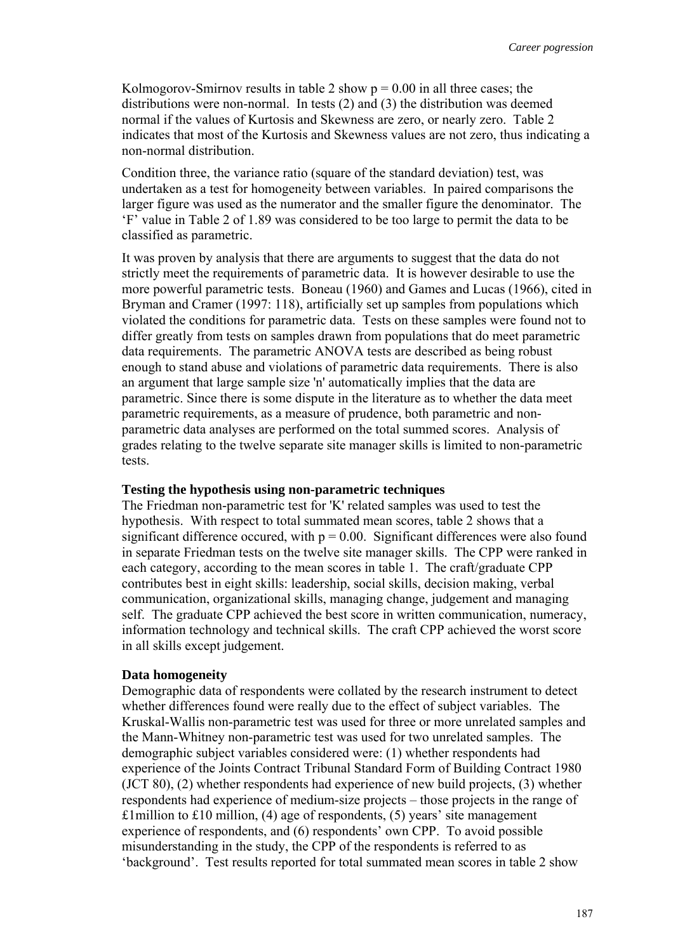Kolmogorov-Smirnov results in table 2 show  $p = 0.00$  in all three cases; the distributions were non-normal. In tests (2) and (3) the distribution was deemed normal if the values of Kurtosis and Skewness are zero, or nearly zero. Table 2 indicates that most of the Kurtosis and Skewness values are not zero, thus indicating a non-normal distribution.

Condition three, the variance ratio (square of the standard deviation) test, was undertaken as a test for homogeneity between variables. In paired comparisons the larger figure was used as the numerator and the smaller figure the denominator. The 'F' value in Table 2 of 1.89 was considered to be too large to permit the data to be classified as parametric.

It was proven by analysis that there are arguments to suggest that the data do not strictly meet the requirements of parametric data. It is however desirable to use the more powerful parametric tests. Boneau (1960) and Games and Lucas (1966), cited in Bryman and Cramer (1997: 118), artificially set up samples from populations which violated the conditions for parametric data. Tests on these samples were found not to differ greatly from tests on samples drawn from populations that do meet parametric data requirements. The parametric ANOVA tests are described as being robust enough to stand abuse and violations of parametric data requirements. There is also an argument that large sample size 'n' automatically implies that the data are parametric. Since there is some dispute in the literature as to whether the data meet parametric requirements, as a measure of prudence, both parametric and nonparametric data analyses are performed on the total summed scores. Analysis of grades relating to the twelve separate site manager skills is limited to non-parametric tests.

### **Testing the hypothesis using non-parametric techniques**

The Friedman non-parametric test for 'K' related samples was used to test the hypothesis. With respect to total summated mean scores, table 2 shows that a significant difference occured, with  $p = 0.00$ . Significant differences were also found in separate Friedman tests on the twelve site manager skills. The CPP were ranked in each category, according to the mean scores in table 1. The craft/graduate CPP contributes best in eight skills: leadership, social skills, decision making, verbal communication, organizational skills, managing change, judgement and managing self. The graduate CPP achieved the best score in written communication, numeracy, information technology and technical skills. The craft CPP achieved the worst score in all skills except judgement.

#### **Data homogeneity**

Demographic data of respondents were collated by the research instrument to detect whether differences found were really due to the effect of subject variables. The Kruskal-Wallis non-parametric test was used for three or more unrelated samples and the Mann-Whitney non-parametric test was used for two unrelated samples. The demographic subject variables considered were: (1) whether respondents had experience of the Joints Contract Tribunal Standard Form of Building Contract 1980 (JCT 80), (2) whether respondents had experience of new build projects, (3) whether respondents had experience of medium-size projects – those projects in the range of £1 million to £10 million,  $(4)$  age of respondents,  $(5)$  years' site management experience of respondents, and (6) respondents' own CPP. To avoid possible misunderstanding in the study, the CPP of the respondents is referred to as 'background'. Test results reported for total summated mean scores in table 2 show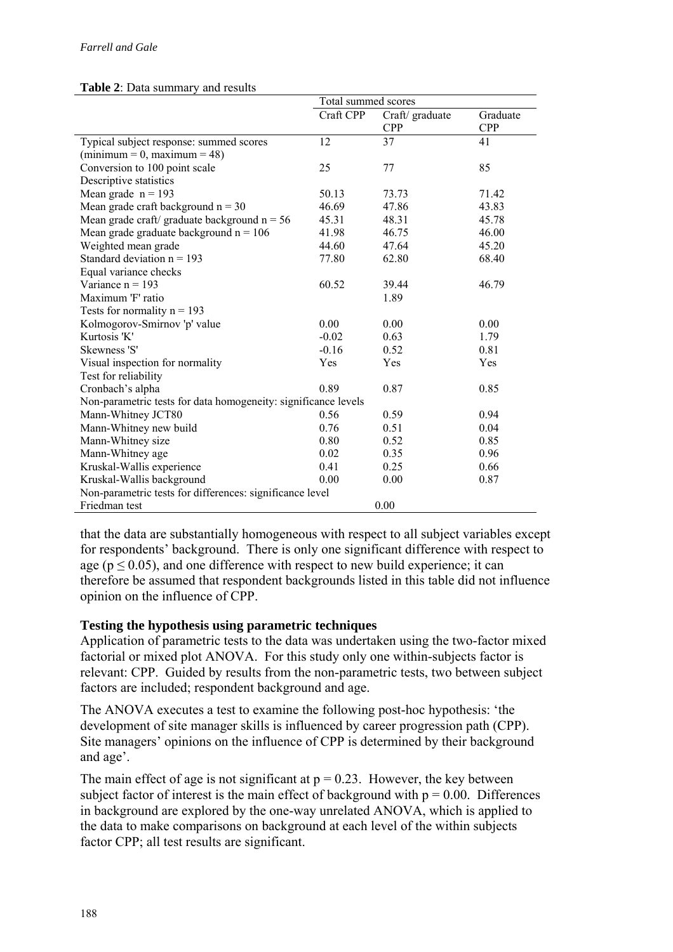### **Table 2**: Data summary and results

|                                                                | Total summed scores |                               |                        |  |  |  |
|----------------------------------------------------------------|---------------------|-------------------------------|------------------------|--|--|--|
|                                                                | Craft CPP           | Craft/ graduate<br><b>CPP</b> | Graduate<br><b>CPP</b> |  |  |  |
| Typical subject response: summed scores                        | 12                  | 37                            | 41                     |  |  |  |
| $(\text{minimum} = 0, \text{maximum} = 48)$                    |                     |                               |                        |  |  |  |
| Conversion to 100 point scale                                  | 25                  | 77                            | 85                     |  |  |  |
| Descriptive statistics                                         |                     |                               |                        |  |  |  |
| Mean grade $n = 193$                                           | 50.13               | 73.73                         | 71.42                  |  |  |  |
| Mean grade craft background $n = 30$                           | 46.69               | 47.86                         | 43.83                  |  |  |  |
| Mean grade craft/ graduate background $n = 56$                 | 45.31               | 48.31                         | 45.78                  |  |  |  |
| Mean grade graduate background $n = 106$                       | 41.98               | 46.75                         | 46.00                  |  |  |  |
| Weighted mean grade                                            | 44.60               | 47.64                         | 45.20                  |  |  |  |
| Standard deviation $n = 193$                                   | 77.80               | 62.80                         | 68.40                  |  |  |  |
| Equal variance checks                                          |                     |                               |                        |  |  |  |
| Variance $n = 193$                                             | 60.52               | 39.44                         | 46.79                  |  |  |  |
| Maximum 'F' ratio                                              |                     | 1.89                          |                        |  |  |  |
| Tests for normality $n = 193$                                  |                     |                               |                        |  |  |  |
| Kolmogorov-Smirnov 'p' value                                   | 0.00                | 0.00                          | 0.00                   |  |  |  |
| Kurtosis 'K'                                                   | $-0.02$             | 0.63                          | 1.79                   |  |  |  |
| Skewness 'S'                                                   | $-0.16$             | 0.52                          | 0.81                   |  |  |  |
| Visual inspection for normality                                | Yes                 | Yes                           | Yes                    |  |  |  |
| Test for reliability                                           |                     |                               |                        |  |  |  |
| Cronbach's alpha                                               | 0.89                | 0.87                          | 0.85                   |  |  |  |
| Non-parametric tests for data homogeneity: significance levels |                     |                               |                        |  |  |  |
| Mann-Whitney JCT80                                             | 0.56                | 0.59                          | 0.94                   |  |  |  |
| Mann-Whitney new build                                         | 0.76                | 0.51                          | 0.04                   |  |  |  |
| Mann-Whitney size                                              | 0.80                | 0.52                          | 0.85                   |  |  |  |
| Mann-Whitney age                                               | 0.02                | 0.35                          | 0.96                   |  |  |  |
| Kruskal-Wallis experience                                      | 0.41                | 0.25                          | 0.66                   |  |  |  |
| Kruskal-Wallis background                                      | 0.00                | 0.00                          | 0.87                   |  |  |  |
| Non-parametric tests for differences: significance level       |                     |                               |                        |  |  |  |
| Friedman test                                                  |                     | 0.00                          |                        |  |  |  |

that the data are substantially homogeneous with respect to all subject variables except for respondents' background. There is only one significant difference with respect to age ( $p \le 0.05$ ), and one difference with respect to new build experience; it can therefore be assumed that respondent backgrounds listed in this table did not influence opinion on the influence of CPP.

## **Testing the hypothesis using parametric techniques**

Application of parametric tests to the data was undertaken using the two-factor mixed factorial or mixed plot ANOVA. For this study only one within-subjects factor is relevant: CPP. Guided by results from the non-parametric tests, two between subject factors are included; respondent background and age.

The ANOVA executes a test to examine the following post-hoc hypothesis: 'the development of site manager skills is influenced by career progression path (CPP). Site managers' opinions on the influence of CPP is determined by their background and age'.

The main effect of age is not significant at  $p = 0.23$ . However, the key between subject factor of interest is the main effect of background with  $p = 0.00$ . Differences in background are explored by the one-way unrelated ANOVA, which is applied to the data to make comparisons on background at each level of the within subjects factor CPP; all test results are significant.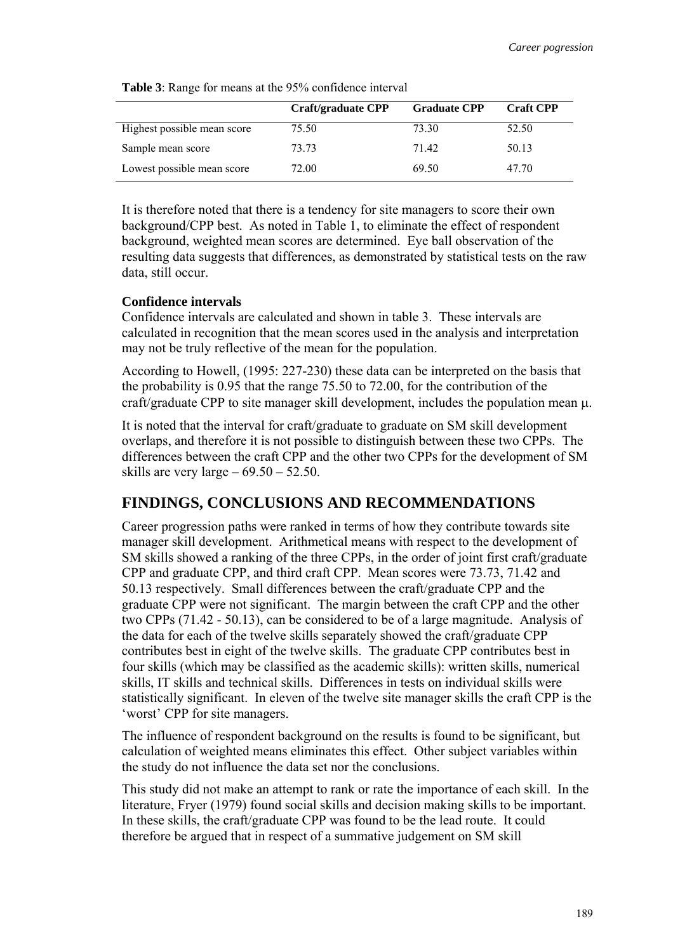|                             | Craft/graduate CPP | <b>Graduate CPP</b> | <b>Craft CPP</b> |
|-----------------------------|--------------------|---------------------|------------------|
| Highest possible mean score | 75.50              | 73.30               | 52.50            |
| Sample mean score           | 73.73              | 7142                | 50.13            |
| Lowest possible mean score  | 72.00              | 69.50               | 47.70            |

**Table 3**: Range for means at the 95% confidence interval

It is therefore noted that there is a tendency for site managers to score their own background/CPP best. As noted in Table 1, to eliminate the effect of respondent background, weighted mean scores are determined. Eye ball observation of the resulting data suggests that differences, as demonstrated by statistical tests on the raw data, still occur.

#### **Confidence intervals**

Confidence intervals are calculated and shown in table 3. These intervals are calculated in recognition that the mean scores used in the analysis and interpretation may not be truly reflective of the mean for the population.

According to Howell, (1995: 227-230) these data can be interpreted on the basis that the probability is 0.95 that the range 75.50 to 72.00, for the contribution of the craft/graduate CPP to site manager skill development, includes the population mean  $\mu$ .

It is noted that the interval for craft/graduate to graduate on SM skill development overlaps, and therefore it is not possible to distinguish between these two CPPs. The differences between the craft CPP and the other two CPPs for the development of SM skills are very large  $-69.50 - 52.50$ .

# **FINDINGS, CONCLUSIONS AND RECOMMENDATIONS**

Career progression paths were ranked in terms of how they contribute towards site manager skill development. Arithmetical means with respect to the development of SM skills showed a ranking of the three CPPs, in the order of joint first craft/graduate CPP and graduate CPP, and third craft CPP. Mean scores were 73.73, 71.42 and 50.13 respectively. Small differences between the craft/graduate CPP and the graduate CPP were not significant. The margin between the craft CPP and the other two CPPs (71.42 - 50.13), can be considered to be of a large magnitude. Analysis of the data for each of the twelve skills separately showed the craft/graduate CPP contributes best in eight of the twelve skills. The graduate CPP contributes best in four skills (which may be classified as the academic skills): written skills, numerical skills, IT skills and technical skills. Differences in tests on individual skills were statistically significant. In eleven of the twelve site manager skills the craft CPP is the 'worst' CPP for site managers.

The influence of respondent background on the results is found to be significant, but calculation of weighted means eliminates this effect. Other subject variables within the study do not influence the data set nor the conclusions.

This study did not make an attempt to rank or rate the importance of each skill. In the literature, Fryer (1979) found social skills and decision making skills to be important. In these skills, the craft/graduate CPP was found to be the lead route. It could therefore be argued that in respect of a summative judgement on SM skill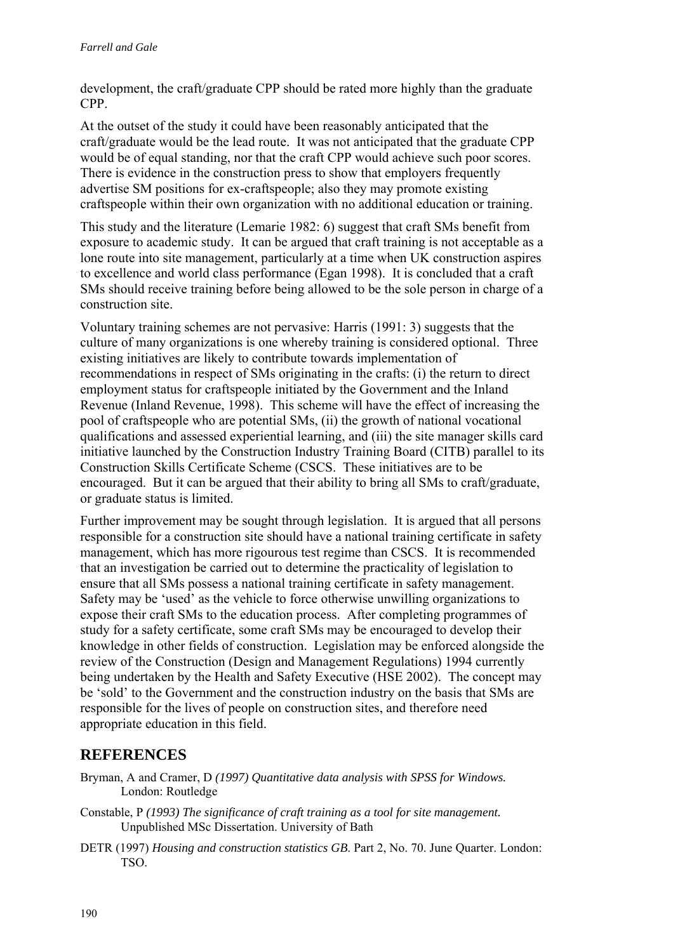development, the craft/graduate CPP should be rated more highly than the graduate CPP.

At the outset of the study it could have been reasonably anticipated that the craft/graduate would be the lead route. It was not anticipated that the graduate CPP would be of equal standing, nor that the craft CPP would achieve such poor scores. There is evidence in the construction press to show that employers frequently advertise SM positions for ex-craftspeople; also they may promote existing craftspeople within their own organization with no additional education or training.

This study and the literature (Lemarie 1982: 6) suggest that craft SMs benefit from exposure to academic study. It can be argued that craft training is not acceptable as a lone route into site management, particularly at a time when UK construction aspires to excellence and world class performance (Egan 1998). It is concluded that a craft SMs should receive training before being allowed to be the sole person in charge of a construction site.

Voluntary training schemes are not pervasive: Harris (1991: 3) suggests that the culture of many organizations is one whereby training is considered optional. Three existing initiatives are likely to contribute towards implementation of recommendations in respect of SMs originating in the crafts: (i) the return to direct employment status for craftspeople initiated by the Government and the Inland Revenue (Inland Revenue, 1998). This scheme will have the effect of increasing the pool of craftspeople who are potential SMs, (ii) the growth of national vocational qualifications and assessed experiential learning, and (iii) the site manager skills card initiative launched by the Construction Industry Training Board (CITB) parallel to its Construction Skills Certificate Scheme (CSCS. These initiatives are to be encouraged. But it can be argued that their ability to bring all SMs to craft/graduate, or graduate status is limited.

Further improvement may be sought through legislation. It is argued that all persons responsible for a construction site should have a national training certificate in safety management, which has more rigourous test regime than CSCS. It is recommended that an investigation be carried out to determine the practicality of legislation to ensure that all SMs possess a national training certificate in safety management. Safety may be 'used' as the vehicle to force otherwise unwilling organizations to expose their craft SMs to the education process. After completing programmes of study for a safety certificate, some craft SMs may be encouraged to develop their knowledge in other fields of construction. Legislation may be enforced alongside the review of the Construction (Design and Management Regulations) 1994 currently being undertaken by the Health and Safety Executive (HSE 2002). The concept may be 'sold' to the Government and the construction industry on the basis that SMs are responsible for the lives of people on construction sites, and therefore need appropriate education in this field.

# **REFERENCES**

Bryman, A and Cramer, D *(1997) Quantitative data analysis with SPSS for Windows.* London: Routledge

- Constable, P *(1993) The significance of craft training as a tool for site management.*  Unpublished MSc Dissertation. University of Bath
- DETR (1997) *Housing and construction statistics GB*. Part 2, No. 70. June Quarter. London: TSO.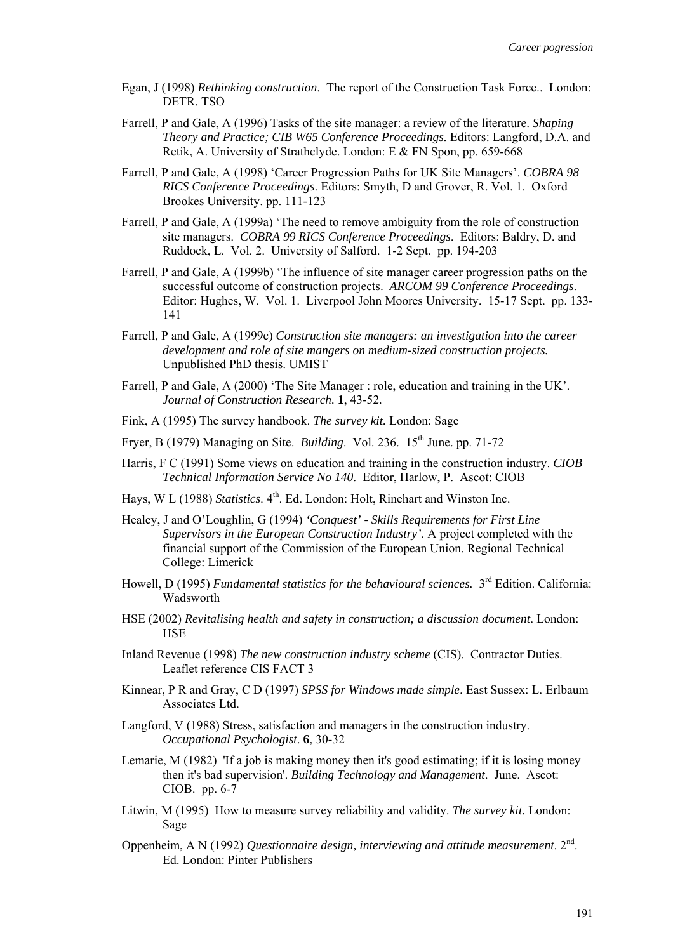- Egan, J (1998) *Rethinking construction*. The report of the Construction Task Force.. London: DETR. TSO
- Farrell, P and Gale, A (1996) Tasks of the site manager: a review of the literature. *Shaping Theory and Practice; CIB W65 Conference Proceedings.* Editors: Langford, D.A. and Retik, A. University of Strathclyde. London: E & FN Spon, pp. 659-668
- Farrell, P and Gale, A (1998) 'Career Progression Paths for UK Site Managers'. *COBRA 98 RICS Conference Proceedings*. Editors: Smyth, D and Grover, R. Vol. 1. Oxford Brookes University. pp. 111-123
- Farrell, P and Gale, A (1999a) 'The need to remove ambiguity from the role of construction site managers. *COBRA 99 RICS Conference Proceedings*. Editors: Baldry, D. and Ruddock, L. Vol. 2. University of Salford. 1-2 Sept. pp. 194-203
- Farrell, P and Gale, A (1999b) 'The influence of site manager career progression paths on the successful outcome of construction projects. *ARCOM 99 Conference Proceedings*. Editor: Hughes, W. Vol. 1. Liverpool John Moores University. 15-17 Sept. pp. 133- 141
- Farrell, P and Gale, A (1999c) *Construction site managers: an investigation into the career development and role of site mangers on medium-sized construction projects.* Unpublished PhD thesis. UMIST
- Farrell, P and Gale, A (2000) 'The Site Manager : role, education and training in the UK'. *Journal of Construction Research.* **1**, 43-52*.*
- Fink, A (1995) The survey handbook. *The survey kit.* London: Sage
- Fryer, B (1979) Managing on Site. *Building*. Vol. 236. 15th June. pp. 71-72
- Harris, F C (1991) Some views on education and training in the construction industry. *CIOB Technical Information Service No 140*. Editor, Harlow, P. Ascot: CIOB
- Hays, W L (1988) *Statistics*. 4<sup>th</sup>. Ed. London: Holt, Rinehart and Winston Inc.
- Healey, J and O'Loughlin, G (1994) *'Conquest' Skills Requirements for First Line Supervisors in the European Construction Industry'*. A project completed with the financial support of the Commission of the European Union. Regional Technical College: Limerick
- Howell, D (1995) *Fundamental statistics for the behavioural sciences.* 3rd Edition. California: Wadsworth
- HSE (2002) *Revitalising health and safety in construction; a discussion document*. London: **HSE**
- Inland Revenue (1998) *The new construction industry scheme* (CIS). Contractor Duties. Leaflet reference CIS FACT 3
- Kinnear, P R and Gray, C D (1997) *SPSS for Windows made simple*. East Sussex: L. Erlbaum Associates Ltd.
- Langford, V (1988) Stress, satisfaction and managers in the construction industry. *Occupational Psychologist*. **6**, 30-32
- Lemarie, M (1982) 'If a job is making money then it's good estimating; if it is losing money then it's bad supervision'. *Building Technology and Management*. June. Ascot: CIOB. pp. 6-7
- Litwin, M (1995) How to measure survey reliability and validity. *The survey kit.* London: Sage
- Oppenheim, A N (1992) *Questionnaire design, interviewing and attitude measurement*. 2<sup>nd</sup>. Ed. London: Pinter Publishers